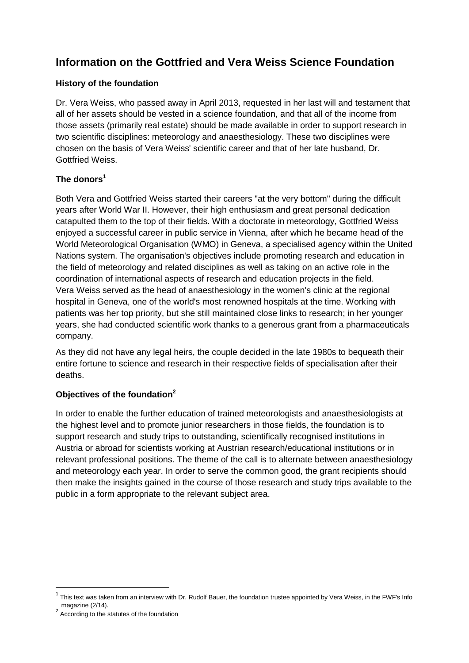# **Information on the Gottfried and Vera Weiss Science Foundation**

## **History of the foundation**

Dr. Vera Weiss, who passed away in April 2013, requested in her last will and testament that all of her assets should be vested in a science foundation, and that all of the income from those assets (primarily real estate) should be made available in order to support research in two scientific disciplines: meteorology and anaesthesiology. These two disciplines were chosen on the basis of Vera Weiss' scientific career and that of her late husband, Dr. Gottfried Weiss.

## **The donors<sup>1</sup>**

Both Vera and Gottfried Weiss started their careers "at the very bottom" during the difficult years after World War II. However, their high enthusiasm and great personal dedication catapulted them to the top of their fields. With a doctorate in meteorology, Gottfried Weiss enjoyed a successful career in public service in Vienna, after which he became head of the World Meteorological Organisation (WMO) in Geneva, a specialised agency within the United Nations system. The organisation's objectives include promoting research and education in the field of meteorology and related disciplines as well as taking on an active role in the coordination of international aspects of research and education projects in the field. Vera Weiss served as the head of anaesthesiology in the women's clinic at the regional hospital in Geneva, one of the world's most renowned hospitals at the time. Working with patients was her top priority, but she still maintained close links to research; in her younger years, she had conducted scientific work thanks to a generous grant from a pharmaceuticals company.

As they did not have any legal heirs, the couple decided in the late 1980s to bequeath their entire fortune to science and research in their respective fields of specialisation after their deaths.

# **Objectives of the foundation<sup>2</sup>**

In order to enable the further education of trained meteorologists and anaesthesiologists at the highest level and to promote junior researchers in those fields, the foundation is to support research and study trips to outstanding, scientifically recognised institutions in Austria or abroad for scientists working at Austrian research/educational institutions or in relevant professional positions. The theme of the call is to alternate between anaesthesiology and meteorology each year. In order to serve the common good, the grant recipients should then make the insights gained in the course of those research and study trips available to the public in a form appropriate to the relevant subject area.

1

 $^1$  This text was taken from an interview with Dr. Rudolf Bauer, the foundation trustee appointed by Vera Weiss, in the FWF's Info magazine (2/14).

<sup>&</sup>lt;sup>2</sup> According to the statutes of the foundation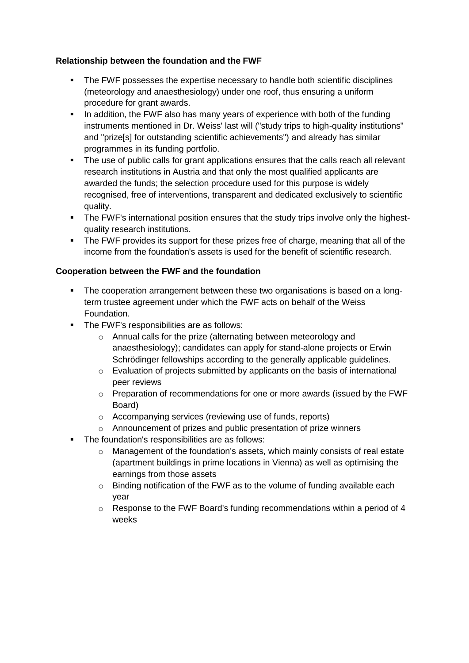#### **Relationship between the foundation and the FWF**

- The FWF possesses the expertise necessary to handle both scientific disciplines (meteorology and anaesthesiology) under one roof, thus ensuring a uniform procedure for grant awards.
- In addition, the FWF also has many years of experience with both of the funding instruments mentioned in Dr. Weiss' last will ("study trips to high-quality institutions" and "prize[s] for outstanding scientific achievements") and already has similar programmes in its funding portfolio.
- The use of public calls for grant applications ensures that the calls reach all relevant research institutions in Austria and that only the most qualified applicants are awarded the funds; the selection procedure used for this purpose is widely recognised, free of interventions, transparent and dedicated exclusively to scientific quality.
- The FWF's international position ensures that the study trips involve only the highestquality research institutions.
- The FWF provides its support for these prizes free of charge, meaning that all of the income from the foundation's assets is used for the benefit of scientific research.

#### **Cooperation between the FWF and the foundation**

- The cooperation arrangement between these two organisations is based on a longterm trustee agreement under which the FWF acts on behalf of the Weiss Foundation.
- The FWF's responsibilities are as follows:
	- o Annual calls for the prize (alternating between meteorology and anaesthesiology); candidates can apply for stand-alone projects or Erwin Schrödinger fellowships according to the generally applicable guidelines.
	- o Evaluation of projects submitted by applicants on the basis of international peer reviews
	- $\circ$  Preparation of recommendations for one or more awards (issued by the FWF Board)
	- o Accompanying services (reviewing use of funds, reports)
	- o Announcement of prizes and public presentation of prize winners
- The foundation's responsibilities are as follows:
	- o Management of the foundation's assets, which mainly consists of real estate (apartment buildings in prime locations in Vienna) as well as optimising the earnings from those assets
	- o Binding notification of the FWF as to the volume of funding available each year
	- $\circ$  Response to the FWF Board's funding recommendations within a period of 4 weeks